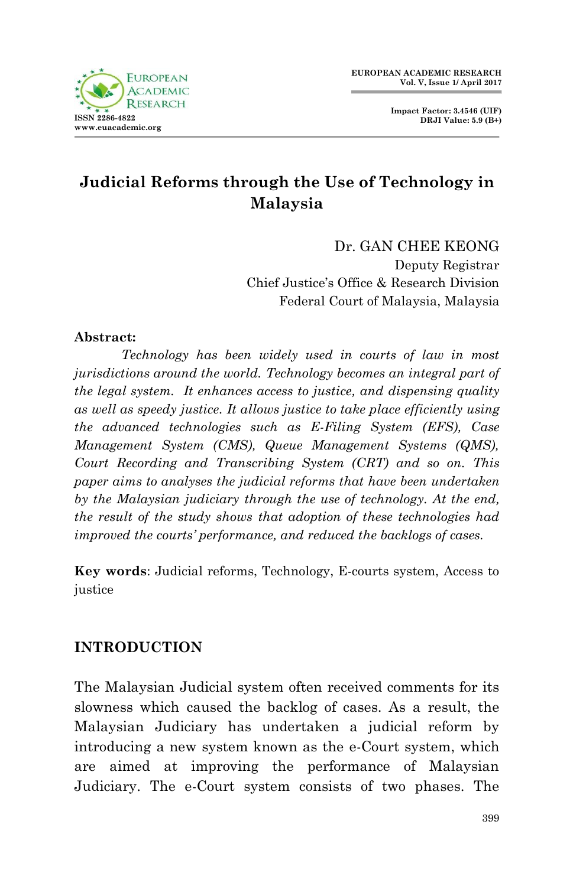

**Impact Factor: 3.4546 (UIF) DRJI Value: 5.9 (B+)**

# **Judicial Reforms through the Use of Technology in Malaysia**

Dr. GAN CHEE KEONG Deputy Registrar Chief Justice"s Office & Research Division Federal Court of Malaysia, Malaysia

#### **Abstract:**

*Technology has been widely used in courts of law in most jurisdictions around the world. Technology becomes an integral part of the legal system. It enhances access to justice, and dispensing quality as well as speedy justice. It allows justice to take place efficiently using the advanced technologies such as E-Filing System (EFS), Case Management System (CMS), Queue Management Systems (QMS), Court Recording and Transcribing System (CRT) and so on. This paper aims to analyses the judicial reforms that have been undertaken by the Malaysian judiciary through the use of technology. At the end, the result of the study shows that adoption of these technologies had improved the courts' performance, and reduced the backlogs of cases.* 

**Key words**: Judicial reforms, Technology, E-courts system, Access to justice

#### **INTRODUCTION**

The Malaysian Judicial system often received comments for its slowness which caused the backlog of cases. As a result, the Malaysian Judiciary has undertaken a judicial reform by introducing a new system known as the e-Court system, which are aimed at improving the performance of Malaysian Judiciary. The e-Court system consists of two phases. The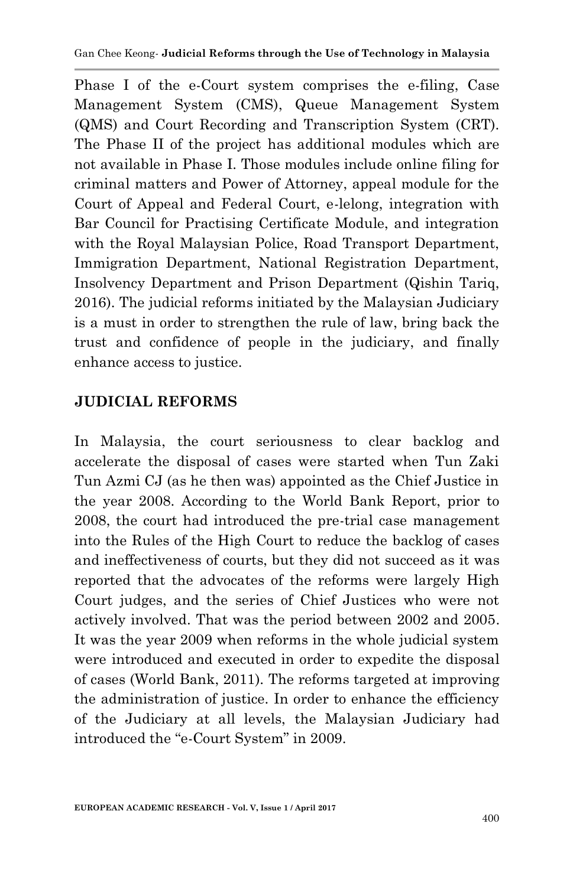Phase I of the e-Court system comprises the e-filing, Case Management System (CMS), Queue Management System (QMS) and Court Recording and Transcription System (CRT). The Phase II of the project has additional modules which are not available in Phase I. Those modules include online filing for criminal matters and Power of Attorney, appeal module for the Court of Appeal and Federal Court, e-lelong, integration with Bar Council for Practising Certificate Module, and integration with the Royal Malaysian Police, Road Transport Department, Immigration Department, National Registration Department, Insolvency Department and Prison Department (Qishin Tariq, 2016). The judicial reforms initiated by the Malaysian Judiciary is a must in order to strengthen the rule of law, bring back the trust and confidence of people in the judiciary, and finally enhance access to justice.

# **JUDICIAL REFORMS**

In Malaysia, the court seriousness to clear backlog and accelerate the disposal of cases were started when Tun Zaki Tun Azmi CJ (as he then was) appointed as the Chief Justice in the year 2008. According to the World Bank Report, prior to 2008, the court had introduced the pre-trial case management into the Rules of the High Court to reduce the backlog of cases and ineffectiveness of courts, but they did not succeed as it was reported that the advocates of the reforms were largely High Court judges, and the series of Chief Justices who were not actively involved. That was the period between 2002 and 2005. It was the year 2009 when reforms in the whole judicial system were introduced and executed in order to expedite the disposal of cases (World Bank, 2011). The reforms targeted at improving the administration of justice. In order to enhance the efficiency of the Judiciary at all levels, the Malaysian Judiciary had introduced the "e-Court System" in 2009.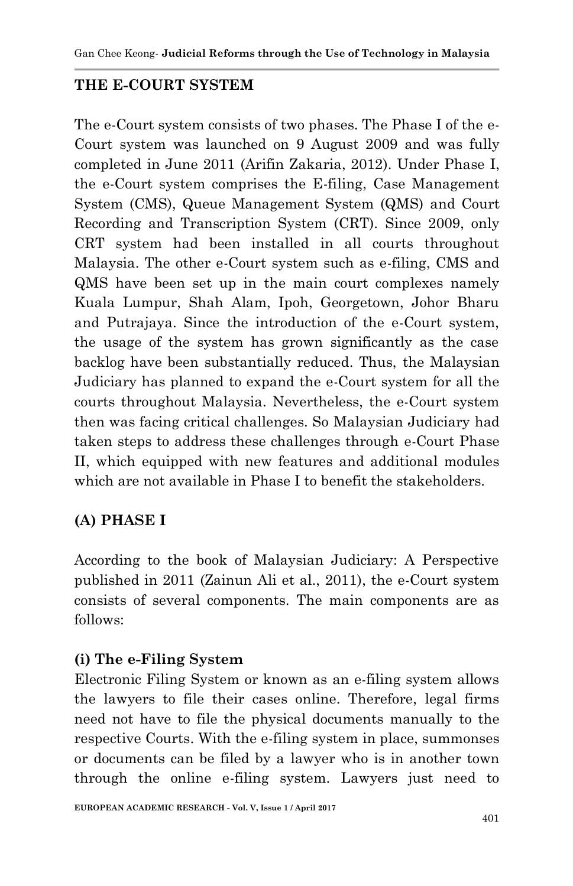### **THE E-COURT SYSTEM**

The e-Court system consists of two phases. The Phase I of the e-Court system was launched on 9 August 2009 and was fully completed in June 2011 (Arifin Zakaria, 2012). Under Phase I, the e-Court system comprises the E-filing, Case Management System (CMS), Queue Management System (QMS) and Court Recording and Transcription System (CRT). Since 2009, only CRT system had been installed in all courts throughout Malaysia. The other e-Court system such as e-filing, CMS and QMS have been set up in the main court complexes namely Kuala Lumpur, Shah Alam, Ipoh, Georgetown, Johor Bharu and Putrajaya. Since the introduction of the e-Court system, the usage of the system has grown significantly as the case backlog have been substantially reduced. Thus, the Malaysian Judiciary has planned to expand the e-Court system for all the courts throughout Malaysia. Nevertheless, the e-Court system then was facing critical challenges. So Malaysian Judiciary had taken steps to address these challenges through e-Court Phase II, which equipped with new features and additional modules which are not available in Phase I to benefit the stakeholders.

### **(A) PHASE I**

According to the book of Malaysian Judiciary: A Perspective published in 2011 (Zainun Ali et al., 2011), the e-Court system consists of several components. The main components are as follows:

### **(i) The e-Filing System**

Electronic Filing System or known as an e-filing system allows the lawyers to file their cases online. Therefore, legal firms need not have to file the physical documents manually to the respective Courts. With the e-filing system in place, summonses or documents can be filed by a lawyer who is in another town through the online e-filing system. Lawyers just need to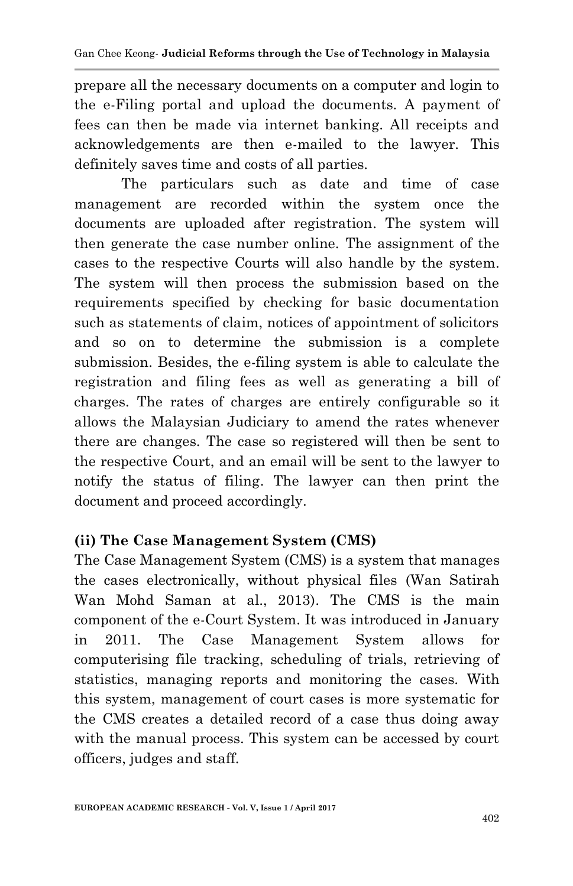prepare all the necessary documents on a computer and login to the e-Filing portal and upload the documents. A payment of fees can then be made via internet banking. All receipts and acknowledgements are then e-mailed to the lawyer. This definitely saves time and costs of all parties.

The particulars such as date and time of case management are recorded within the system once the documents are uploaded after registration. The system will then generate the case number online. The assignment of the cases to the respective Courts will also handle by the system. The system will then process the submission based on the requirements specified by checking for basic documentation such as statements of claim, notices of appointment of solicitors and so on to determine the submission is a complete submission. Besides, the e-filing system is able to calculate the registration and filing fees as well as generating a bill of charges. The rates of charges are entirely configurable so it allows the Malaysian Judiciary to amend the rates whenever there are changes. The case so registered will then be sent to the respective Court, and an email will be sent to the lawyer to notify the status of filing. The lawyer can then print the document and proceed accordingly.

### **(ii) The Case Management System (CMS)**

The Case Management System (CMS) is a system that manages the cases electronically, without physical files (Wan Satirah Wan Mohd Saman at al., 2013). The CMS is the main component of the e-Court System. It was introduced in January in 2011. The Case Management System allows for computerising file tracking, scheduling of trials, retrieving of statistics, managing reports and monitoring the cases. With this system, management of court cases is more systematic for the CMS creates a detailed record of a case thus doing away with the manual process. This system can be accessed by court officers, judges and staff.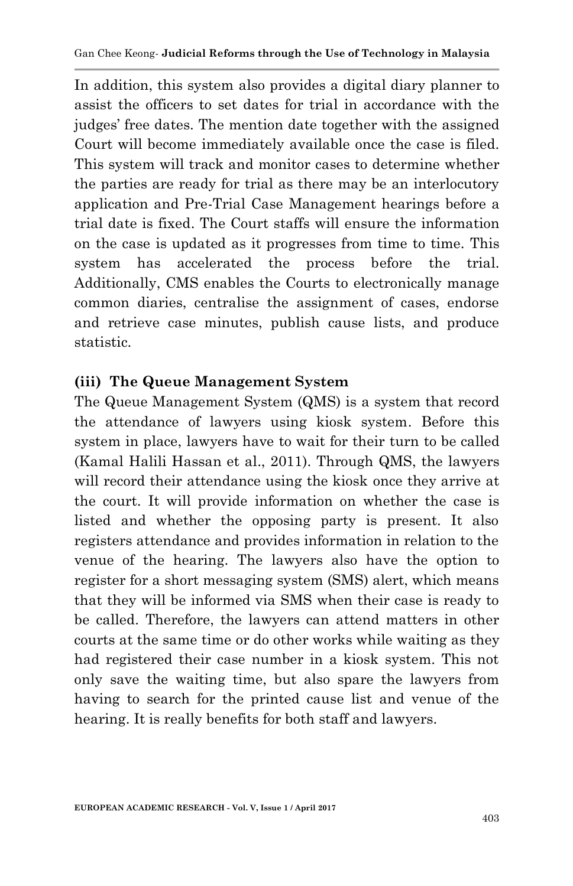In addition, this system also provides a digital diary planner to assist the officers to set dates for trial in accordance with the judges" free dates. The mention date together with the assigned Court will become immediately available once the case is filed. This system will track and monitor cases to determine whether the parties are ready for trial as there may be an interlocutory application and Pre-Trial Case Management hearings before a trial date is fixed. The Court staffs will ensure the information on the case is updated as it progresses from time to time. This system has accelerated the process before the trial. Additionally, CMS enables the Courts to electronically manage common diaries, centralise the assignment of cases, endorse and retrieve case minutes, publish cause lists, and produce statistic.

#### **(iii) The Queue Management System**

The Queue Management System (QMS) is a system that record the attendance of lawyers using kiosk system. Before this system in place, lawyers have to wait for their turn to be called (Kamal Halili Hassan et al., 2011). Through QMS, the lawyers will record their attendance using the kiosk once they arrive at the court. It will provide information on whether the case is listed and whether the opposing party is present. It also registers attendance and provides information in relation to the venue of the hearing. The lawyers also have the option to register for a short messaging system (SMS) alert, which means that they will be informed via SMS when their case is ready to be called. Therefore, the lawyers can attend matters in other courts at the same time or do other works while waiting as they had registered their case number in a kiosk system. This not only save the waiting time, but also spare the lawyers from having to search for the printed cause list and venue of the hearing. It is really benefits for both staff and lawyers.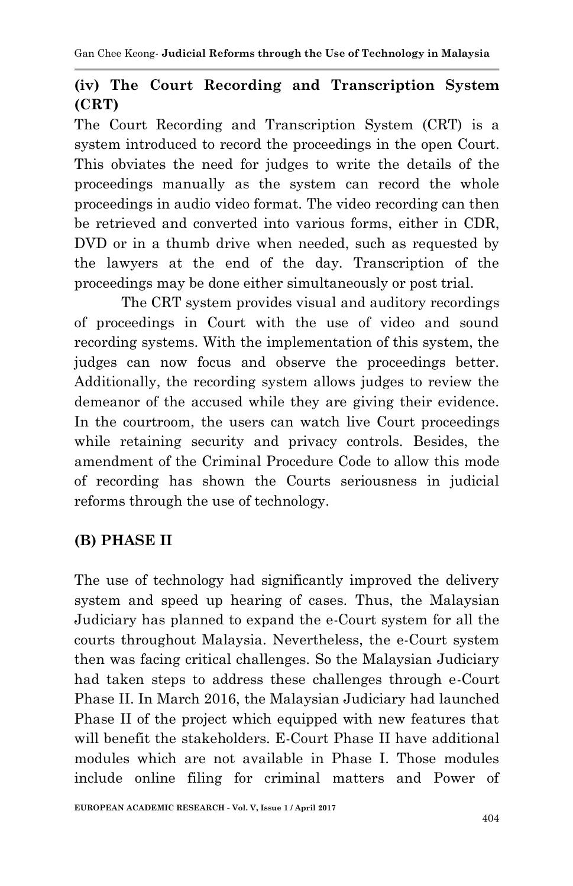# **(iv) The Court Recording and Transcription System (CRT)**

The Court Recording and Transcription System (CRT) is a system introduced to record the proceedings in the open Court. This obviates the need for judges to write the details of the proceedings manually as the system can record the whole proceedings in audio video format. The video recording can then be retrieved and converted into various forms, either in CDR, DVD or in a thumb drive when needed, such as requested by the lawyers at the end of the day. Transcription of the proceedings may be done either simultaneously or post trial.

The CRT system provides visual and auditory recordings of proceedings in Court with the use of video and sound recording systems. With the implementation of this system, the judges can now focus and observe the proceedings better. Additionally, the recording system allows judges to review the demeanor of the accused while they are giving their evidence. In the courtroom, the users can watch live Court proceedings while retaining security and privacy controls. Besides, the amendment of the Criminal Procedure Code to allow this mode of recording has shown the Courts seriousness in judicial reforms through the use of technology.

# **(B) PHASE II**

The use of technology had significantly improved the delivery system and speed up hearing of cases. Thus, the Malaysian Judiciary has planned to expand the e-Court system for all the courts throughout Malaysia. Nevertheless, the e-Court system then was facing critical challenges. So the Malaysian Judiciary had taken steps to address these challenges through e-Court Phase II. In March 2016, the Malaysian Judiciary had launched Phase II of the project which equipped with new features that will benefit the stakeholders. E-Court Phase II have additional modules which are not available in Phase I. Those modules include online filing for criminal matters and Power of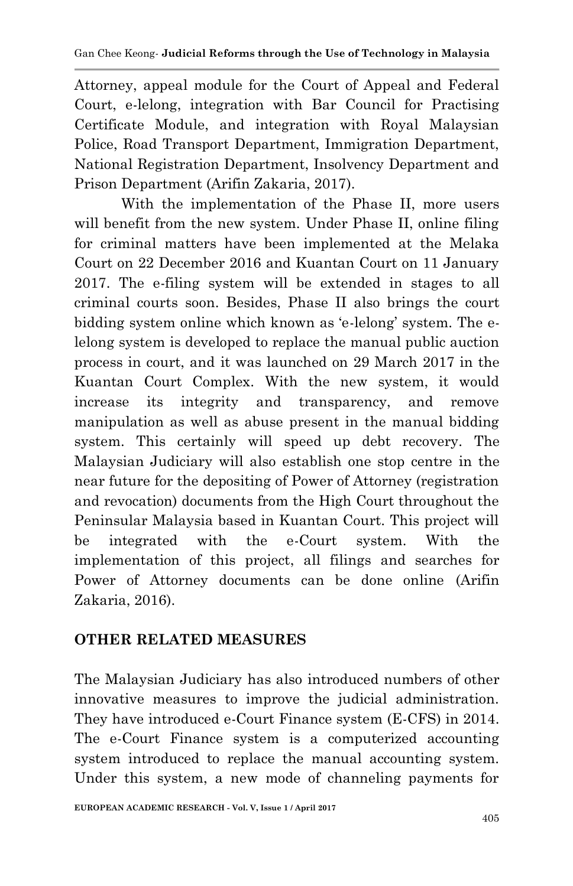Attorney, appeal module for the Court of Appeal and Federal Court, e-lelong, integration with Bar Council for Practising Certificate Module, and integration with Royal Malaysian Police, Road Transport Department, Immigration Department, National Registration Department, Insolvency Department and Prison Department (Arifin Zakaria, 2017).

With the implementation of the Phase II, more users will benefit from the new system. Under Phase II, online filing for criminal matters have been implemented at the Melaka Court on 22 December 2016 and Kuantan Court on 11 January 2017. The e-filing system will be extended in stages to all criminal courts soon. Besides, Phase II also brings the court bidding system online which known as "e-lelong" system. The elelong system is developed to replace the manual public auction process in court, and it was launched on 29 March 2017 in the Kuantan Court Complex. With the new system, it would increase its integrity and transparency, and remove manipulation as well as abuse present in the manual bidding system. This certainly will speed up debt recovery. The Malaysian Judiciary will also establish one stop centre in the near future for the depositing of Power of Attorney (registration and revocation) documents from the High Court throughout the Peninsular Malaysia based in Kuantan Court. This project will be integrated with the e-Court system. With the implementation of this project, all filings and searches for Power of Attorney documents can be done online (Arifin Zakaria, 2016).

#### **OTHER RELATED MEASURES**

The Malaysian Judiciary has also introduced numbers of other innovative measures to improve the judicial administration. They have introduced e-Court Finance system (E-CFS) in 2014. The e-Court Finance system is a computerized accounting system introduced to replace the manual accounting system. Under this system, a new mode of channeling payments for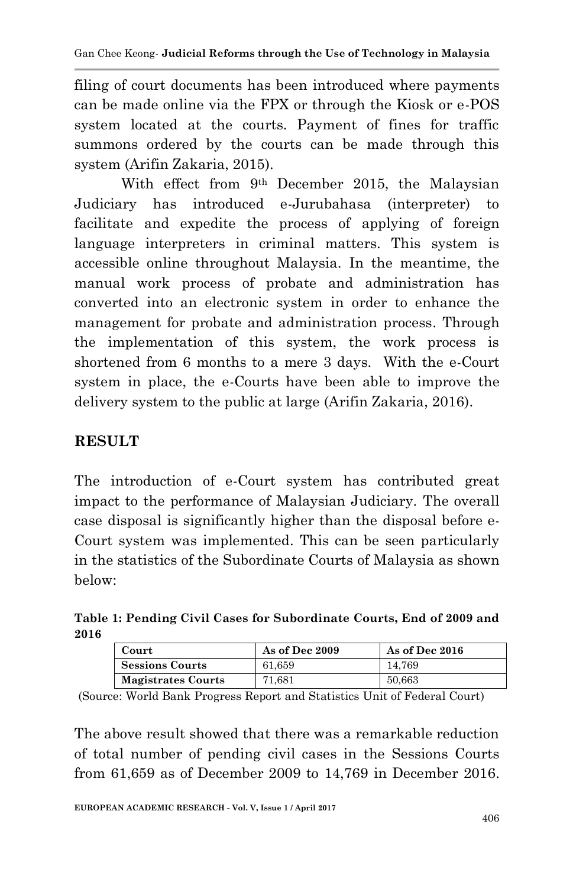filing of court documents has been introduced where payments can be made online via the FPX or through the Kiosk or e-POS system located at the courts. Payment of fines for traffic summons ordered by the courts can be made through this system (Arifin Zakaria, 2015).

With effect from 9th December 2015, the Malaysian Judiciary has introduced e-Jurubahasa (interpreter) to facilitate and expedite the process of applying of foreign language interpreters in criminal matters. This system is accessible online throughout Malaysia. In the meantime, the manual work process of probate and administration has converted into an electronic system in order to enhance the management for probate and administration process. Through the implementation of this system, the work process is shortened from 6 months to a mere 3 days. With the e-Court system in place, the e-Courts have been able to improve the delivery system to the public at large (Arifin Zakaria, 2016).

## **RESULT**

The introduction of e-Court system has contributed great impact to the performance of Malaysian Judiciary. The overall case disposal is significantly higher than the disposal before e-Court system was implemented. This can be seen particularly in the statistics of the Subordinate Courts of Malaysia as shown below:

**Table 1: Pending Civil Cases for Subordinate Courts, End of 2009 and 2016**

| Court                     | As of Dec 2009 | As of Dec 2016 |
|---------------------------|----------------|----------------|
| <b>Sessions Courts</b>    | 61.659         | 14.769         |
| <b>Magistrates Courts</b> | 71.681         | 50.663         |

(Source: World Bank Progress Report and Statistics Unit of Federal Court)

The above result showed that there was a remarkable reduction of total number of pending civil cases in the Sessions Courts from 61,659 as of December 2009 to 14,769 in December 2016.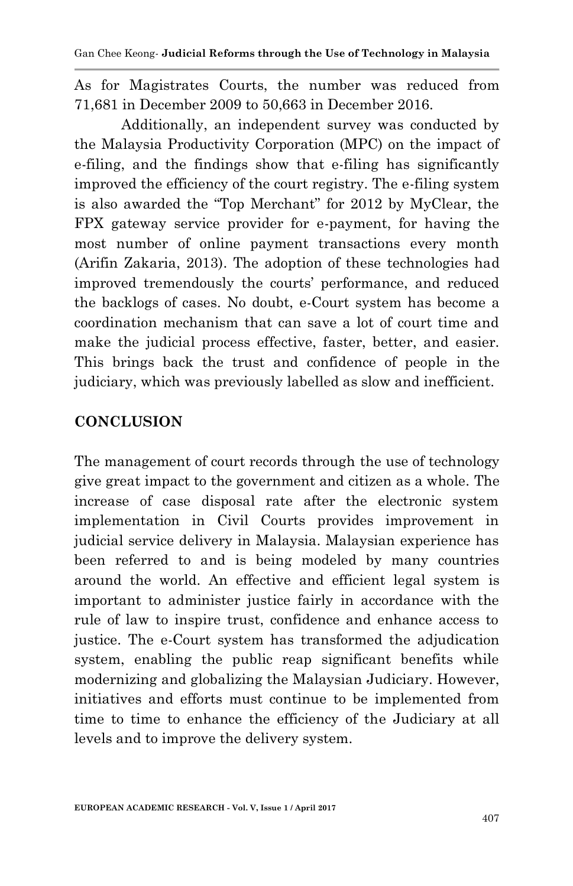As for Magistrates Courts, the number was reduced from 71,681 in December 2009 to 50,663 in December 2016.

Additionally, an independent survey was conducted by the Malaysia Productivity Corporation (MPC) on the impact of e-filing, and the findings show that e-filing has significantly improved the efficiency of the court registry. The e-filing system is also awarded the "Top Merchant" for 2012 by MyClear, the FPX gateway service provider for e-payment, for having the most number of online payment transactions every month (Arifin Zakaria, 2013). The adoption of these technologies had improved tremendously the courts' performance, and reduced the backlogs of cases. No doubt, e-Court system has become a coordination mechanism that can save a lot of court time and make the judicial process effective, faster, better, and easier. This brings back the trust and confidence of people in the judiciary, which was previously labelled as slow and inefficient.

### **CONCLUSION**

The management of court records through the use of technology give great impact to the government and citizen as a whole. The increase of case disposal rate after the electronic system implementation in Civil Courts provides improvement in judicial service delivery in Malaysia. Malaysian experience has been referred to and is being modeled by many countries around the world. An effective and efficient legal system is important to administer justice fairly in accordance with the rule of law to inspire trust, confidence and enhance access to justice. The e-Court system has transformed the adjudication system, enabling the public reap significant benefits while modernizing and globalizing the Malaysian Judiciary. However, initiatives and efforts must continue to be implemented from time to time to enhance the efficiency of the Judiciary at all levels and to improve the delivery system.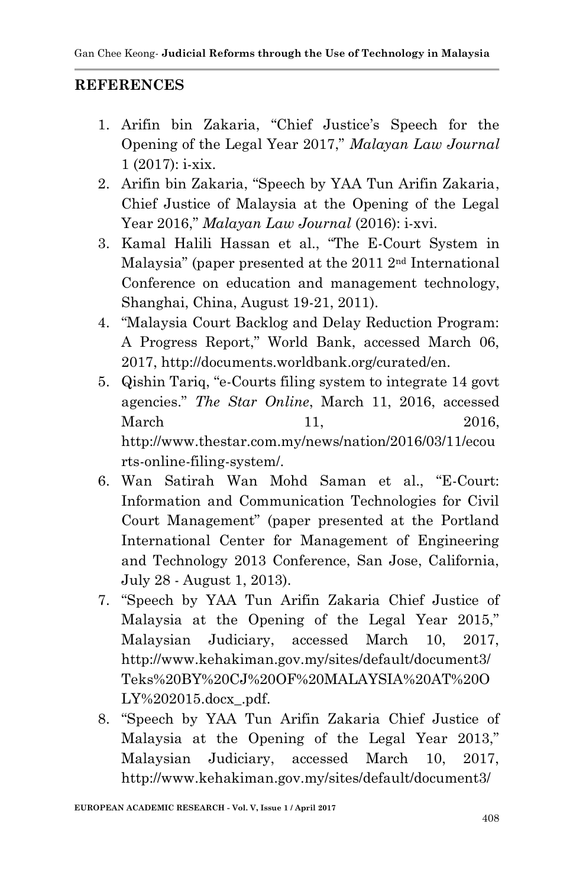#### **REFERENCES**

- 1. Arifin bin Zakaria, "Chief Justice's Speech for the Opening of the Legal Year 2017," *Malayan Law Journal*  1 (2017): i-xix.
- 2. Arifin bin Zakaria, "Speech by YAA Tun Arifin Zakaria, Chief Justice of Malaysia at the Opening of the Legal Year 2016," *Malayan Law Journal* (2016): i-xvi.
- 3. Kamal Halili Hassan et al., "The E-Court System in Malaysia" (paper presented at the 2011 2nd International Conference on education and management technology, Shanghai, China, August 19-21, 2011).
- 4. "Malaysia Court Backlog and Delay Reduction Program: A Progress Report," World Bank, accessed March 06, 2017, http://documents.worldbank.org/curated/en.
- 5. Qishin Tariq, "e-Courts filing system to integrate 14 govt agencies." *The Star Online*, March 11, 2016, accessed March 11, 2016, http://www.thestar.com.my/news/nation/2016/03/11/ecou rts-online-filing-system/.
- 6. Wan Satirah Wan Mohd Saman et al., "E-Court: Information and Communication Technologies for Civil Court Management" (paper presented at the Portland International Center for Management of Engineering and Technology 2013 Conference, San Jose, California, July 28 - August 1, 2013).
- 7. "Speech by YAA Tun Arifin Zakaria Chief Justice of Malaysia at the Opening of the Legal Year 2015," Malaysian Judiciary, accessed March 10, 2017, http://www.kehakiman.gov.my/sites/default/document3/ Teks%20BY%20CJ%20OF%20MALAYSIA%20AT%20O LY%202015.docx\_.pdf.
- 8. "Speech by YAA Tun Arifin Zakaria Chief Justice of Malaysia at the Opening of the Legal Year 2013," Malaysian Judiciary, accessed March 10, 2017, http://www.kehakiman.gov.my/sites/default/document3/